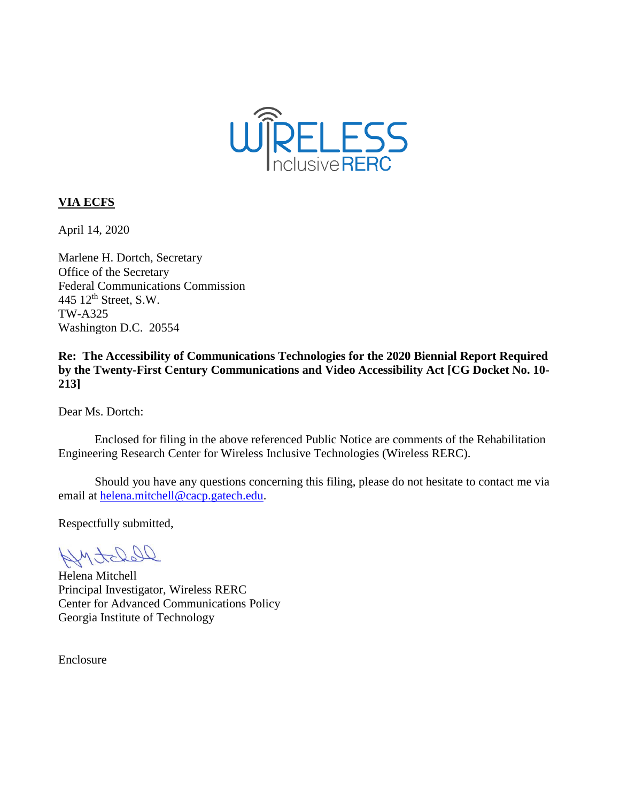

### **VIA ECFS**

April 14, 2020

Marlene H. Dortch, Secretary Office of the Secretary Federal Communications Commission 445 12th Street, S.W. TW-A325 Washington D.C. 20554

**Re: The Accessibility of Communications Technologies for the 2020 Biennial Report Required by the Twenty-First Century Communications and Video Accessibility Act [CG Docket No. 10- 213]**

Dear Ms. Dortch:

Enclosed for filing in the above referenced Public Notice are comments of the Rehabilitation Engineering Research Center for Wireless Inclusive Technologies (Wireless RERC).

Should you have any questions concerning this filing, please do not hesitate to contact me via email at [helena.mitchell@cacp.gatech.edu.](mailto:helena.mitchell@cacp.gatech.edu)

Respectfully submitted,

DepartMy

Helena Mitchell Principal Investigator, Wireless RERC Center for Advanced Communications Policy Georgia Institute of Technology

Enclosure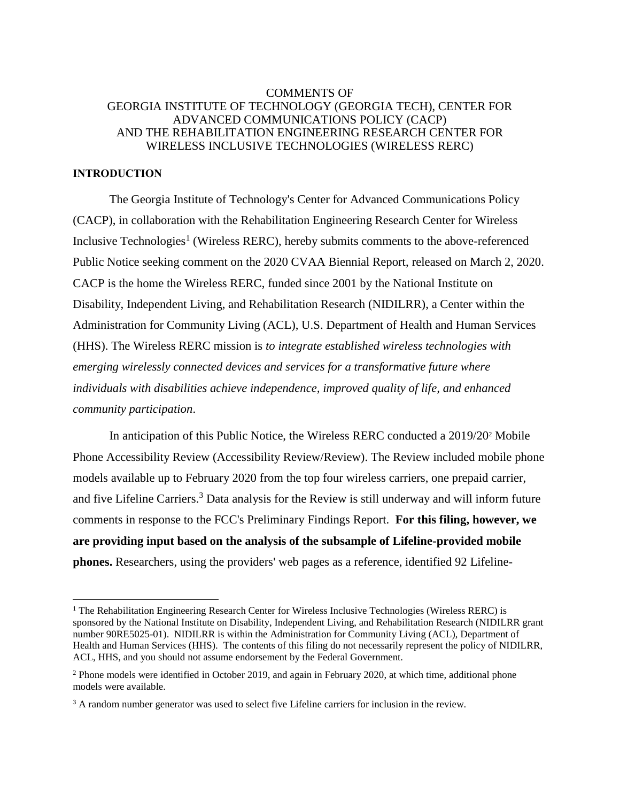### COMMENTS OF GEORGIA INSTITUTE OF TECHNOLOGY (GEORGIA TECH), CENTER FOR ADVANCED COMMUNICATIONS POLICY (CACP) AND THE REHABILITATION ENGINEERING RESEARCH CENTER FOR WIRELESS INCLUSIVE TECHNOLOGIES (WIRELESS RERC)

#### **INTRODUCTION**

l

The Georgia Institute of Technology's Center for Advanced Communications Policy (CACP), in collaboration with the Rehabilitation Engineering Research Center for Wireless Inclusive Technologies<sup>1</sup> (Wireless RERC), hereby submits comments to the above-referenced Public Notice seeking comment on the 2020 CVAA Biennial Report, released on March 2, 2020. CACP is the home the Wireless RERC, funded since 2001 by the National Institute on Disability, Independent Living, and Rehabilitation Research (NIDILRR), a Center within the Administration for Community Living (ACL), U.S. Department of Health and Human Services (HHS). The Wireless RERC mission is *to integrate established wireless technologies with emerging wirelessly connected devices and services for a transformative future where individuals with disabilities achieve independence, improved quality of life, and enhanced community participation*.

In anticipation of this Public Notice, the Wireless RERC conducted a 2019/20<sup>2</sup> Mobile Phone Accessibility Review (Accessibility Review/Review). The Review included mobile phone models available up to February 2020 from the top four wireless carriers, one prepaid carrier, and five Lifeline Carriers.<sup>3</sup> Data analysis for the Review is still underway and will inform future comments in response to the FCC's Preliminary Findings Report. **For this filing, however, we are providing input based on the analysis of the subsample of Lifeline-provided mobile phones.** Researchers, using the providers' web pages as a reference, identified 92 Lifeline-

<sup>&</sup>lt;sup>1</sup> The Rehabilitation Engineering Research Center for Wireless Inclusive Technologies (Wireless RERC) is sponsored by the National Institute on Disability, Independent Living, and Rehabilitation Research (NIDILRR grant number 90RE5025-01). NIDILRR is within the Administration for Community Living (ACL), Department of Health and Human Services (HHS). The contents of this filing do not necessarily represent the policy of NIDILRR, ACL, HHS, and you should not assume endorsement by the Federal Government.

<sup>&</sup>lt;sup>2</sup> Phone models were identified in October 2019, and again in February 2020, at which time, additional phone models were available.

<sup>&</sup>lt;sup>3</sup> A random number generator was used to select five Lifeline carriers for inclusion in the review.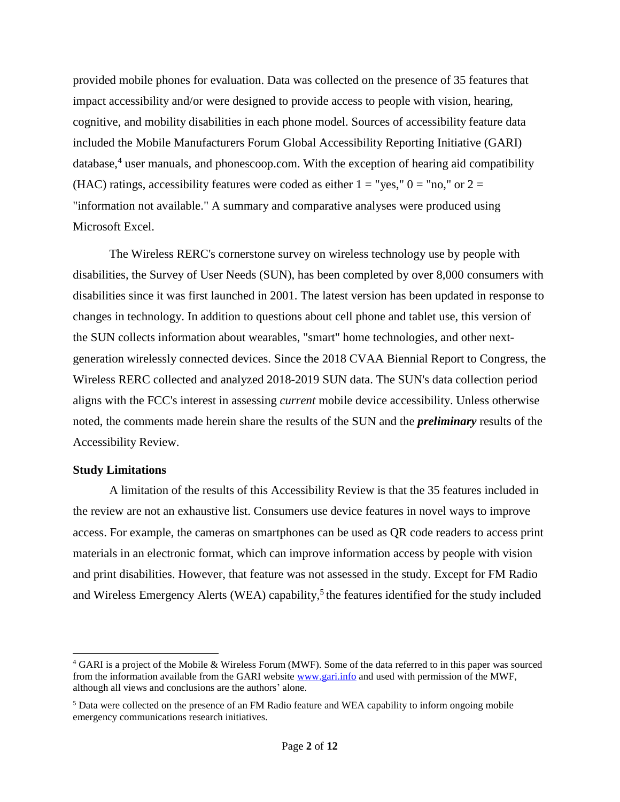provided mobile phones for evaluation. Data was collected on the presence of 35 features that impact accessibility and/or were designed to provide access to people with vision, hearing, cognitive, and mobility disabilities in each phone model. Sources of accessibility feature data included the Mobile Manufacturers Forum Global Accessibility Reporting Initiative (GARI) database,<sup>4</sup> user manuals, and phonescoop.com. With the exception of hearing aid compatibility (HAC) ratings, accessibility features were coded as either  $1 =$  "yes,"  $0 =$  "no," or  $2 =$ "information not available." A summary and comparative analyses were produced using Microsoft Excel.

The Wireless RERC's cornerstone survey on wireless technology use by people with disabilities, the Survey of User Needs (SUN), has been completed by over 8,000 consumers with disabilities since it was first launched in 2001. The latest version has been updated in response to changes in technology. In addition to questions about cell phone and tablet use, this version of the SUN collects information about wearables, "smart" home technologies, and other nextgeneration wirelessly connected devices. Since the 2018 CVAA Biennial Report to Congress, the Wireless RERC collected and analyzed 2018-2019 SUN data. The SUN's data collection period aligns with the FCC's interest in assessing *current* mobile device accessibility. Unless otherwise noted, the comments made herein share the results of the SUN and the *preliminary* results of the Accessibility Review.

### **Study Limitations**

 $\overline{\phantom{a}}$ 

A limitation of the results of this Accessibility Review is that the 35 features included in the review are not an exhaustive list. Consumers use device features in novel ways to improve access. For example, the cameras on smartphones can be used as QR code readers to access print materials in an electronic format, which can improve information access by people with vision and print disabilities. However, that feature was not assessed in the study. Except for FM Radio and Wireless Emergency Alerts (WEA) capability,<sup>5</sup> the features identified for the study included

<sup>4</sup> GARI is a project of the Mobile & Wireless Forum (MWF). Some of the data referred to in this paper was sourced from the information available from the GARI website [www.gari.info](http://www.gari.info/) and used with permission of the MWF, although all views and conclusions are the authors' alone.

<sup>5</sup> Data were collected on the presence of an FM Radio feature and WEA capability to inform ongoing mobile emergency communications research initiatives.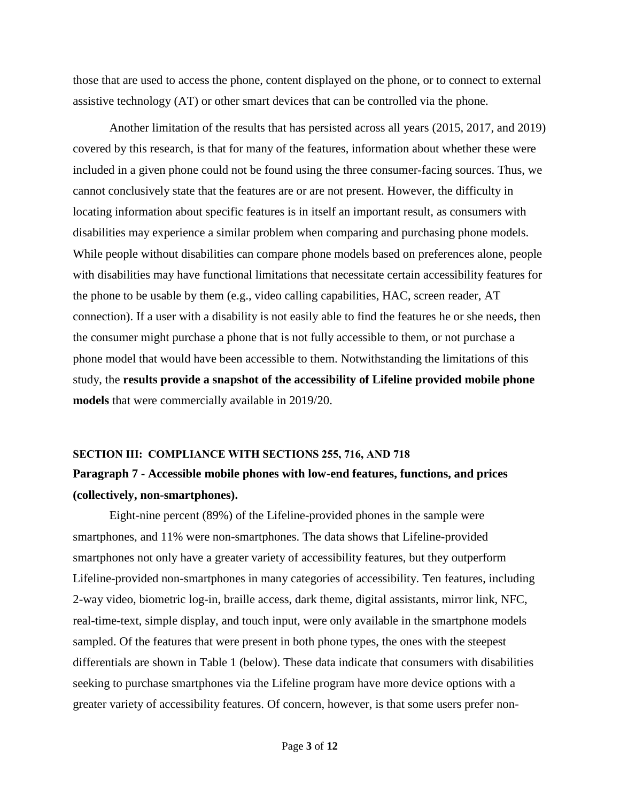those that are used to access the phone, content displayed on the phone, or to connect to external assistive technology (AT) or other smart devices that can be controlled via the phone.

Another limitation of the results that has persisted across all years (2015, 2017, and 2019) covered by this research, is that for many of the features, information about whether these were included in a given phone could not be found using the three consumer-facing sources. Thus, we cannot conclusively state that the features are or are not present. However, the difficulty in locating information about specific features is in itself an important result, as consumers with disabilities may experience a similar problem when comparing and purchasing phone models. While people without disabilities can compare phone models based on preferences alone, people with disabilities may have functional limitations that necessitate certain accessibility features for the phone to be usable by them (e.g., video calling capabilities, HAC, screen reader, AT connection). If a user with a disability is not easily able to find the features he or she needs, then the consumer might purchase a phone that is not fully accessible to them, or not purchase a phone model that would have been accessible to them. Notwithstanding the limitations of this study, the **results provide a snapshot of the accessibility of Lifeline provided mobile phone models** that were commercially available in 2019/20.

# **SECTION III: COMPLIANCE WITH SECTIONS 255, 716, AND 718 Paragraph 7 - Accessible mobile phones with low-end features, functions, and prices (collectively, non-smartphones).**

Eight-nine percent (89%) of the Lifeline-provided phones in the sample were smartphones, and 11% were non-smartphones. The data shows that Lifeline-provided smartphones not only have a greater variety of accessibility features, but they outperform Lifeline-provided non-smartphones in many categories of accessibility. Ten features, including 2-way video, biometric log-in, braille access, dark theme, digital assistants, mirror link, NFC, real-time-text, simple display, and touch input, were only available in the smartphone models sampled. Of the features that were present in both phone types, the ones with the steepest differentials are shown in Table 1 (below). These data indicate that consumers with disabilities seeking to purchase smartphones via the Lifeline program have more device options with a greater variety of accessibility features. Of concern, however, is that some users prefer non-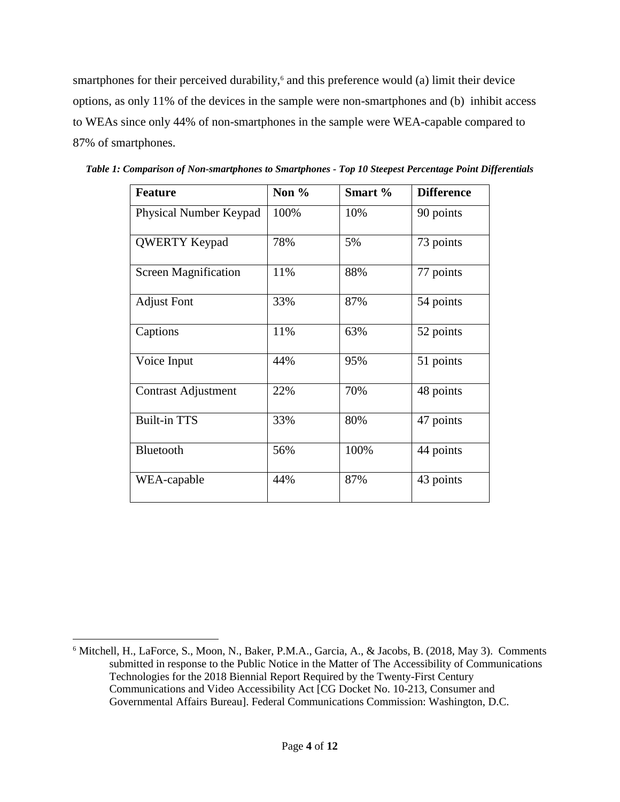smartphones for their perceived durability, <sup>6</sup> and this preference would (a) limit their device options, as only 11% of the devices in the sample were non-smartphones and (b) inhibit access to WEAs since only 44% of non-smartphones in the sample were WEA-capable compared to 87% of smartphones.

| <b>Feature</b>                | Non $%$ | Smart % | <b>Difference</b> |
|-------------------------------|---------|---------|-------------------|
| <b>Physical Number Keypad</b> | 100%    | 10%     | 90 points         |
| <b>QWERTY Keypad</b>          | 78%     | 5%      | 73 points         |
| <b>Screen Magnification</b>   | 11%     | 88%     | 77 points         |
| <b>Adjust Font</b>            | 33%     | 87%     | 54 points         |
| Captions                      | 11%     | 63%     | 52 points         |
| Voice Input                   | 44%     | 95%     | 51 points         |
| <b>Contrast Adjustment</b>    | 22%     | 70%     | 48 points         |
| <b>Built-in TTS</b>           | 33%     | 80%     | 47 points         |
| Bluetooth                     | 56%     | 100%    | 44 points         |
| WEA-capable                   | 44%     | 87%     | 43 points         |

*Table 1: Comparison of Non-smartphones to Smartphones - Top 10 Steepest Percentage Point Differentials*

l

<sup>6</sup> Mitchell, H., LaForce, S., Moon, N., Baker, P.M.A., Garcia, A., & Jacobs, B. (2018, May 3). Comments submitted in response to the Public Notice in the Matter of The Accessibility of Communications Technologies for the 2018 Biennial Report Required by the Twenty-First Century Communications and Video Accessibility Act [CG Docket No. 10-213, Consumer and Governmental Affairs Bureau]. Federal Communications Commission: Washington, D.C.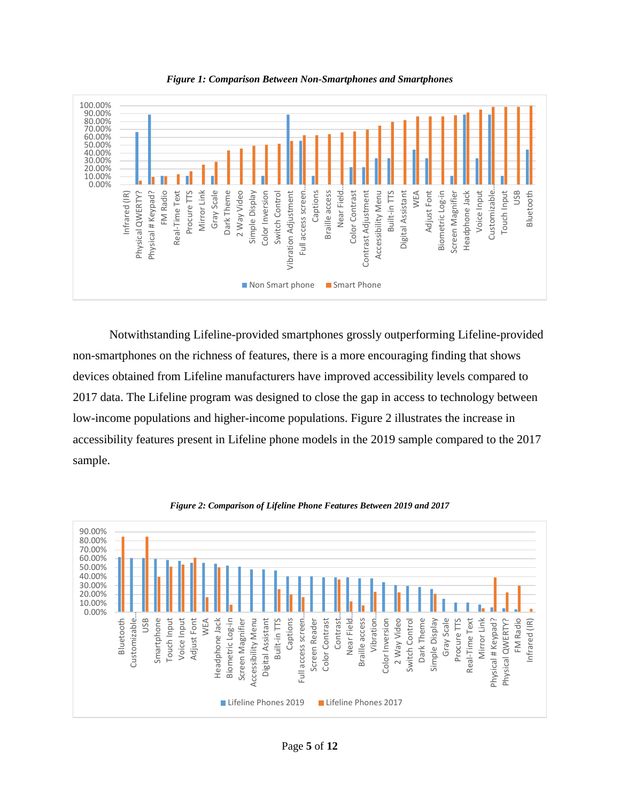

*Figure 1: Comparison Between Non-Smartphones and Smartphones* 

Notwithstanding Lifeline-provided smartphones grossly outperforming Lifeline-provided non-smartphones on the richness of features, there is a more encouraging finding that shows devices obtained from Lifeline manufacturers have improved accessibility levels compared to 2017 data. The Lifeline program was designed to close the gap in access to technology between low-income populations and higher-income populations. Figure 2 illustrates the increase in accessibility features present in Lifeline phone models in the 2019 sample compared to the 2017 sample.



*Figure 2: Comparison of Lifeline Phone Features Between 2019 and 2017*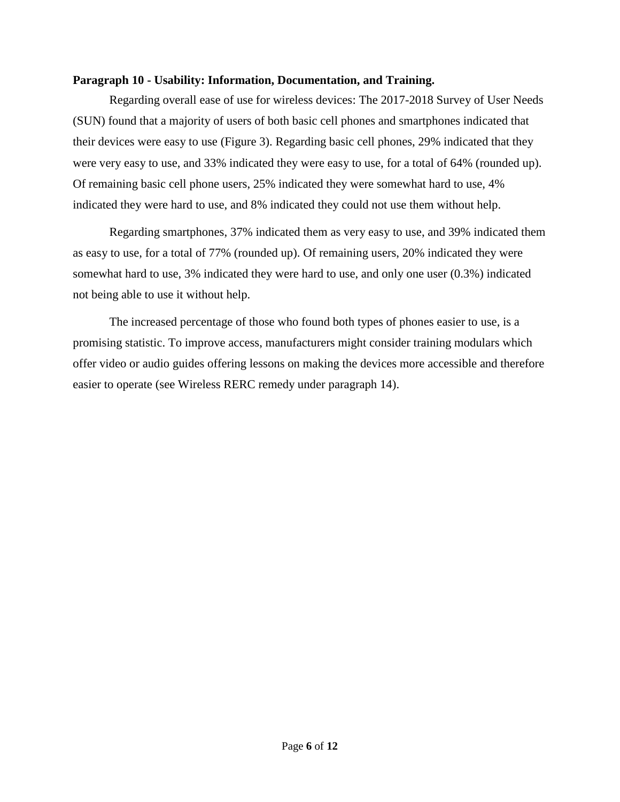### **Paragraph 10 - Usability: Information, Documentation, and Training.**

Regarding overall ease of use for wireless devices: The 2017-2018 Survey of User Needs (SUN) found that a majority of users of both basic cell phones and smartphones indicated that their devices were easy to use (Figure 3). Regarding basic cell phones, 29% indicated that they were very easy to use, and 33% indicated they were easy to use, for a total of 64% (rounded up). Of remaining basic cell phone users, 25% indicated they were somewhat hard to use, 4% indicated they were hard to use, and 8% indicated they could not use them without help.

Regarding smartphones, 37% indicated them as very easy to use, and 39% indicated them as easy to use, for a total of 77% (rounded up). Of remaining users, 20% indicated they were somewhat hard to use, 3% indicated they were hard to use, and only one user (0.3%) indicated not being able to use it without help.

The increased percentage of those who found both types of phones easier to use, is a promising statistic. To improve access, manufacturers might consider training modulars which offer video or audio guides offering lessons on making the devices more accessible and therefore easier to operate (see Wireless RERC remedy under paragraph 14).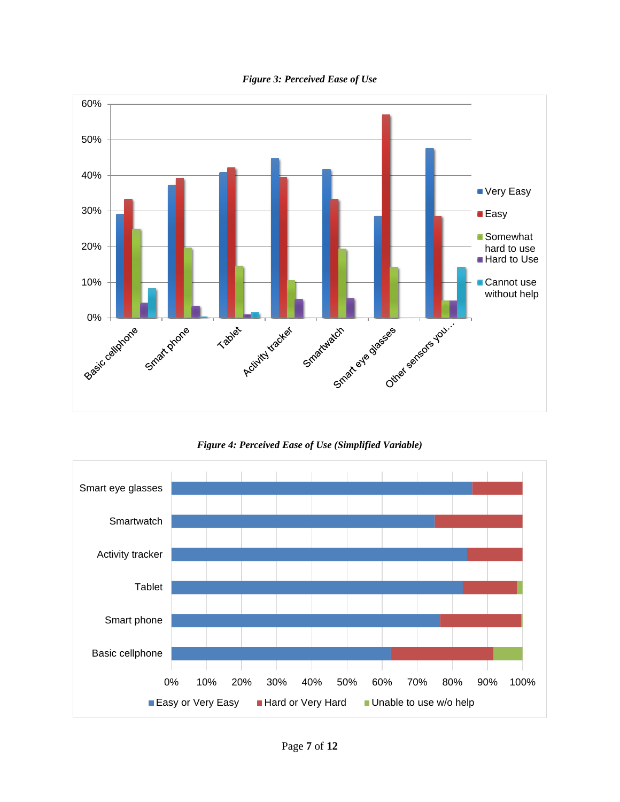

*Figure 3: Perceived Ease of Use*

*Figure 4: Perceived Ease of Use (Simplified Variable)*

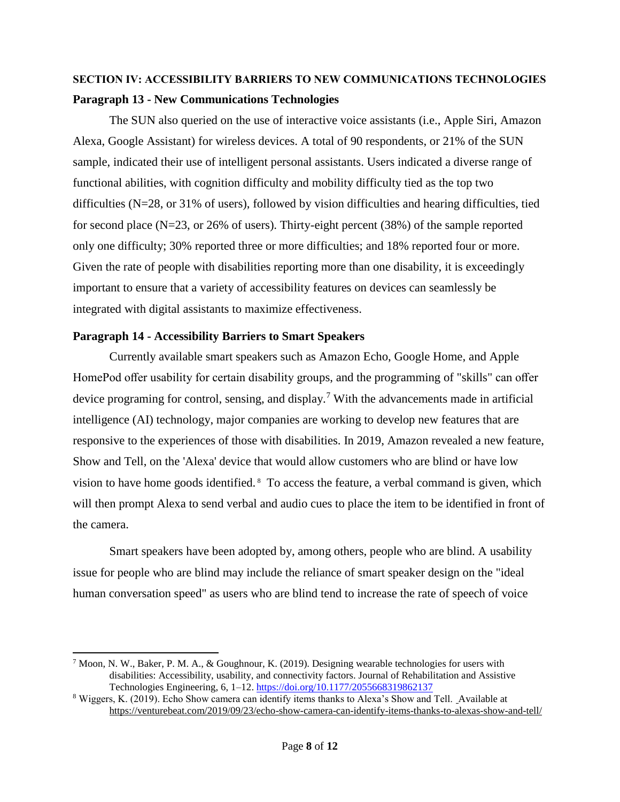## **SECTION IV: ACCESSIBILITY BARRIERS TO NEW COMMUNICATIONS TECHNOLOGIES Paragraph 13 - New Communications Technologies**

The SUN also queried on the use of interactive voice assistants (i.e., Apple Siri, Amazon Alexa, Google Assistant) for wireless devices. A total of 90 respondents, or 21% of the SUN sample, indicated their use of intelligent personal assistants. Users indicated a diverse range of functional abilities, with cognition difficulty and mobility difficulty tied as the top two difficulties (N=28, or 31% of users), followed by vision difficulties and hearing difficulties, tied for second place (N=23, or 26% of users). Thirty-eight percent (38%) of the sample reported only one difficulty; 30% reported three or more difficulties; and 18% reported four or more. Given the rate of people with disabilities reporting more than one disability, it is exceedingly important to ensure that a variety of accessibility features on devices can seamlessly be integrated with digital assistants to maximize effectiveness.

### **Paragraph 14 - Accessibility Barriers to Smart Speakers**

l

Currently available smart speakers such as Amazon Echo, Google Home, and Apple HomePod offer usability for certain disability groups, and the programming of "skills" can offer device programing for control, sensing, and display.<sup>7</sup> With the advancements made in artificial intelligence (AI) technology, major companies are working to develop new features that are responsive to the experiences of those with disabilities. In 2019, Amazon revealed a new feature, Show and Tell, on the 'Alexa' device that would allow customers who are blind or have low vision to have home goods identified. <sup>8</sup> To access the feature, a verbal command is given, which will then prompt Alexa to send verbal and audio cues to place the item to be identified in front of the camera.

Smart speakers have been adopted by, among others, people who are blind. A usability issue for people who are blind may include the reliance of smart speaker design on the "ideal human conversation speed" as users who are blind tend to increase the rate of speech of voice

<sup>&</sup>lt;sup>7</sup> Moon, N. W., Baker, P. M. A., & Goughnour, K. (2019). Designing wearable technologies for users with disabilities: Accessibility, usability, and connectivity factors. Journal of Rehabilitation and Assistive Technologies Engineering, 6, 1–12.<https://doi.org/10.1177/2055668319862137>

<sup>8</sup> Wiggers, K. (2019). Echo Show camera can identify items thanks to Alexa's Show and Tell. Available at <https://venturebeat.com/2019/09/23/echo-show-camera-can-identify-items-thanks-to-alexas-show-and-tell/>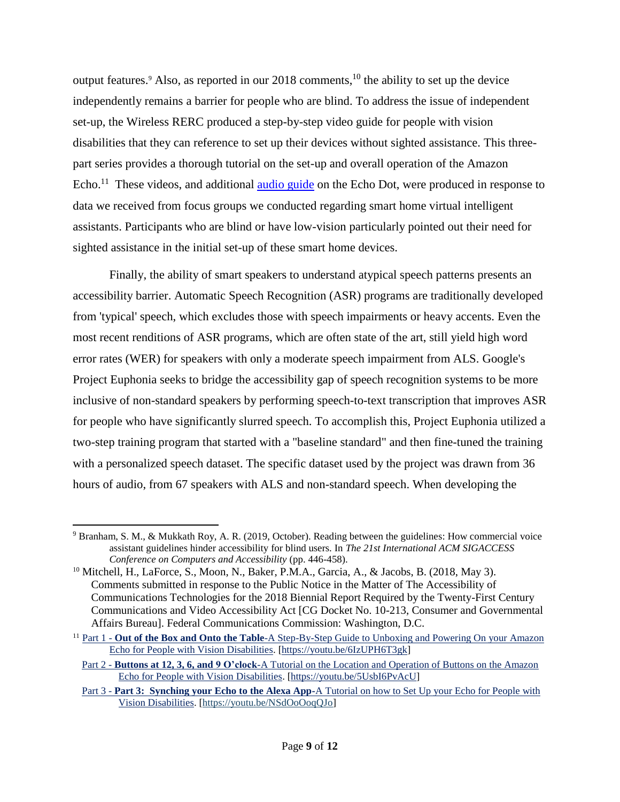output features.<sup>9</sup> Also, as reported in our 2018 comments,<sup>10</sup> the ability to set up the device independently remains a barrier for people who are blind. To address the issue of independent set-up, the Wireless RERC produced a step-by-step video guide for people with vision disabilities that they can reference to set up their devices without sighted assistance. This threepart series provides a thorough tutorial on the set-up and overall operation of the Amazon Echo.<sup>11</sup> These videos, and additional **<u>[audio guide](https://garrs.org/listen/echodot/)</u>** on the Echo Dot, were produced in response to data we received from focus groups we conducted regarding smart home virtual intelligent assistants. Participants who are blind or have low-vision particularly pointed out their need for sighted assistance in the initial set-up of these smart home devices.

Finally, the ability of smart speakers to understand atypical speech patterns presents an accessibility barrier. Automatic Speech Recognition (ASR) programs are traditionally developed from 'typical' speech, which excludes those with speech impairments or heavy accents. Even the most recent renditions of ASR programs, which are often state of the art, still yield high word error rates (WER) for speakers with only a moderate speech impairment from ALS. Google's Project Euphonia seeks to bridge the accessibility gap of speech recognition systems to be more inclusive of non-standard speakers by performing speech-to-text transcription that improves ASR for people who have significantly slurred speech. To accomplish this, Project Euphonia utilized a two-step training program that started with a "baseline standard" and then fine-tuned the training with a personalized speech dataset. The specific dataset used by the project was drawn from 36 hours of audio, from 67 speakers with ALS and non-standard speech. When developing the

 $\overline{\phantom{a}}$ <sup>9</sup> Branham, S. M., & Mukkath Roy, A. R. (2019, October). Reading between the guidelines: How commercial voice assistant guidelines hinder accessibility for blind users. In *The 21st International ACM SIGACCESS Conference on Computers and Accessibility* (pp. 446-458).

<sup>&</sup>lt;sup>10</sup> Mitchell, H., LaForce, S., Moon, N., Baker, P.M.A., Garcia, A., & Jacobs, B. (2018, May 3). Comments submitted in response to the Public Notice in the Matter of The Accessibility of Communications Technologies for the 2018 Biennial Report Required by the Twenty-First Century Communications and Video Accessibility Act [CG Docket No. 10-213, Consumer and Governmental Affairs Bureau]. Federal Communications Commission: Washington, D.C.

<sup>&</sup>lt;sup>11</sup> Part 1 - **Out of the Box and Onto the Table**-A Step-By-Step Guide to Unboxing and Powering On your Amazon [Echo for People with Vision Disabilities.](https://youtu.be/6IzUPH6T3gk) [\[https://youtu.be/6IzUPH6T3gk\]](https://youtu.be/6IzUPH6T3gk)

Part 2 - **Buttons at 12, 3, 6, and 9 O'clock**[-A Tutorial on the Location and Operation of Buttons on the Amazon](https://youtu.be/5UsbI6PvAcU)  [Echo for People with Vision Disabilities.](https://youtu.be/5UsbI6PvAcU) [\[https://youtu.be/5UsbI6PvAcU\]](https://youtu.be/5UsbI6PvAcU)

Part 3 - **Part 3: Synching your Echo to the Alexa App-**[A Tutorial on how to Set Up your Echo for People with](https://youtu.be/NSdOoOoqQJo)  [Vision Disabilities.](https://youtu.be/NSdOoOoqQJo) [\[https://youtu.be/NSdOoOoqQJo\]](https://youtu.be/NSdOoOoqQJo)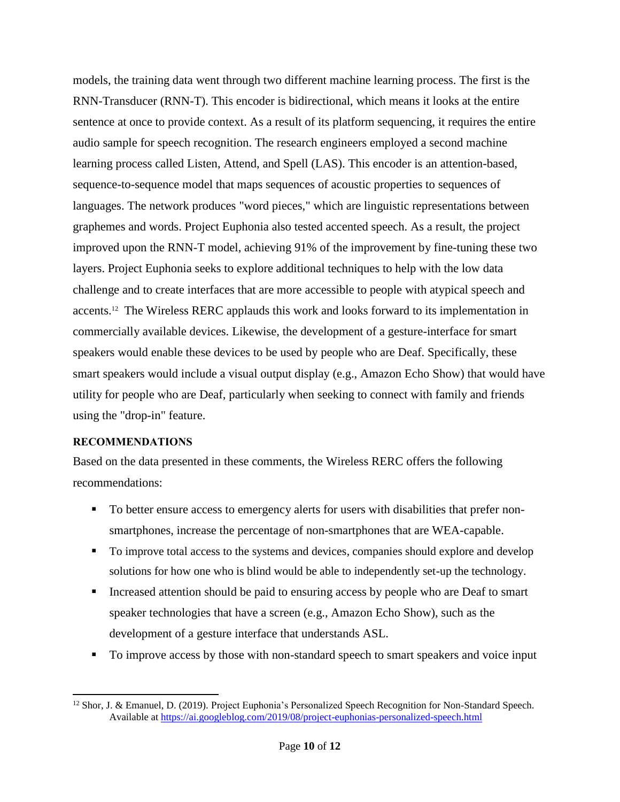models, the training data went through two different machine learning process. The first is the RNN-Transducer (RNN-T). This encoder is bidirectional, which means it looks at the entire sentence at once to provide context. As a result of its platform sequencing, it requires the entire audio sample for speech recognition. The research engineers employed a second machine learning process called Listen, Attend, and Spell (LAS). This encoder is an attention-based, sequence-to-sequence model that maps sequences of acoustic properties to sequences of languages. The network produces "word pieces," which are linguistic representations between graphemes and words. Project Euphonia also tested accented speech. As a result, the project improved upon the RNN-T model, achieving 91% of the improvement by fine-tuning these two layers. Project Euphonia seeks to explore additional techniques to help with the low data challenge and to create interfaces that are more accessible to people with atypical speech and accents.<sup>12</sup> The Wireless RERC applauds this work and looks forward to its implementation in commercially available devices. Likewise, the development of a gesture-interface for smart speakers would enable these devices to be used by people who are Deaf. Specifically, these smart speakers would include a visual output display (e.g., Amazon Echo Show) that would have utility for people who are Deaf, particularly when seeking to connect with family and friends using the "drop-in" feature.

### **RECOMMENDATIONS**

l

Based on the data presented in these comments, the Wireless RERC offers the following recommendations:

- To better ensure access to emergency alerts for users with disabilities that prefer nonsmartphones, increase the percentage of non-smartphones that are WEA-capable.
- To improve total access to the systems and devices, companies should explore and develop solutions for how one who is blind would be able to independently set-up the technology.
- Increased attention should be paid to ensuring access by people who are Deaf to smart speaker technologies that have a screen (e.g., Amazon Echo Show), such as the development of a gesture interface that understands ASL.
- To improve access by those with non-standard speech to smart speakers and voice input

<sup>12</sup> Shor, J. & Emanuel, D. (2019). Project Euphonia's Personalized Speech Recognition for Non-Standard Speech. Available at<https://ai.googleblog.com/2019/08/project-euphonias-personalized-speech.html>